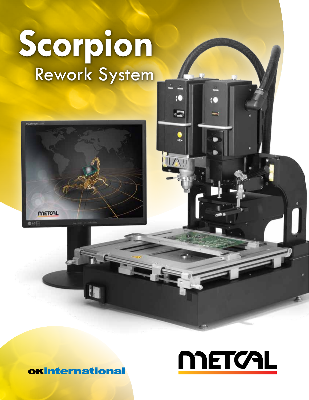# **Scorpion** Rework System



# **METCAL**

**okinternational**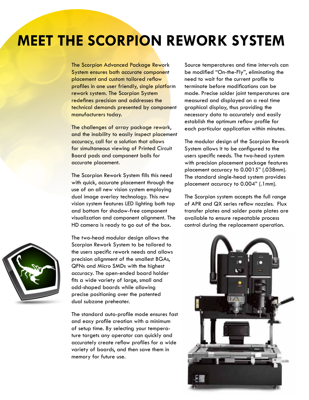# **MEET THE SCORPION REWORK SYSTEM**

The Scorpion Advanced Package Rework System ensures both accurate component placement and custom tailored reflow profiles in one user friendly, single platform rework system. The Scorpion System redefines precision and addresses the technical demands presented by component manufacturers today.

The challenges of array package rework, and the inability to easily inspect placement accuracy, call for a solution that allows for simultaneous viewing of Printed Circuit Board pads and component balls for accurate placement.

The Scorpion Rework System fills this need with quick, accurate placement through the vision system features LED lighting both top visualization and component alignment. The

use of an all new vision system employing dual image overlay technology. This new and bottom for shadow-free component HD camera is ready to go out of the box.

The two-head modular design allows the Scorpion Rework System to be tailored to the users specific rework needs and allows precision alignment of the smallest BGAs, QFNs and Micro SMDs with the highest accuracy. The open-ended board holder fits a wide variety of large, small and odd-shaped boards while allowing precise positioning over the patented dual subzone preheater.

The standard auto-profile mode ensures fast and easy profile creation with a minimum of setup time. By selecting your temperature targets any operator can quickly and accurately create reflow profiles for a wide variety of boards, and then save them in memory for future use.

Source temperatures and time intervals can be modified "On-the-Fly", eliminating the need to wait for the current profile to terminate before modifications can be made. Precise solder joint temperatures are measured and displayed on a real time graphical display, thus providing the necessary data to accurately and easily establish the optimum reflow profile for each particular application within minutes.

The modular design of the Scorpion Rework System allows it to be configured to the users specific needs. The two-head system with precision placement package features placement accuracy to 0.0015" (.038mm). The standard single-head system provides placement accuracy to 0.004" (.1mm).

The Scorpion system accepts the full range of APR and QX series reflow nozzles. Flux transfer plates and solder paste plates are available to ensure repeatable process control during the replacement operation.

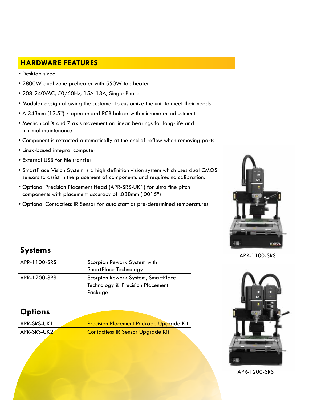#### **fHARDWARE FEATURES**

- Desktop sized
- 2800W dual zone preheater with 550W top heater
- 208-240VAC, 50/60Hz, 15A-13A, Single Phase
- Modular design allowing the customer to customize the unit to meet their needs
- A 343mm (13.5") x open-ended PCB holder with micrometer adjustment
- Mechanical X and Z axis movement on linear bearings for long-life and minimal maintenance
- Component is retracted automatically at the end of reflow when removing parts
- Linux-based integral computer
- External USB for file transfer
- SmartPlace Vision System is a high definition vision system which uses dual CMOS sensors to assist in the placement of components and requires no calibration.
- Optional Precision Placement Head (APR-SRS-UK1) for ultra fine pitch components with placement accuracy of .038mm (.0015")
- Optional Contactless IR Sensor for auto start at pre-determined temperatures



#### **Systems**

| APR-1100-SRS | Scorpion Rework System with        |
|--------------|------------------------------------|
|              | SmartPlace Technology              |
| APR-1200-SRS | Scorpion Rework System, SmartPlace |
|              | Technology & Precision Placement   |
|              | Package                            |

#### APR-1100-SRS



APR-1200-SRS

#### **Options**

APR-SRS-UK1 Precision Placement Package Upgrade Kit APR-SRS-UK2<sup>2</sup> Contactless IR Sensor Upgrade Kit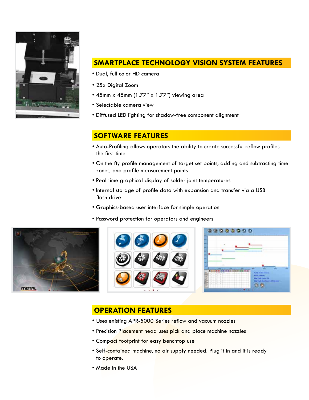

#### **SMARTPLACE TECHNOLOGY VISION SYSTEM FEATURES**

- Dual, full color HD camera
- 25x Digital Zoom
- 45mm x 45mm (1.77" x 1.77") viewing area
- Selectable camera view
- Diffused LED lighting for shadow-free component alignment

#### **SOFTWARE FEATURES**

- Auto-Profiling allows operators the ability to create successful reflow profiles the first time
- On the fly profile management of target set points, adding and subtracting time zones, and profile measurement points
- Real time graphical display of solder joint temperatures
- Internal storage of profile data with expansion and transfer via a USB flash drive
- Graphics-based user interface for simple operation
- Password protection for operators and engineers







#### **OPERATION FEATURES**

- Uses existing APR-5000 Series reflow and vacuum nozzles
- Precision Placement head uses pick and place machine nozzles
- Compact footprint for easy benchtop use
- Self-contained machine, no air supply needed. Plug it in and it is ready to operate.
- Made in the USA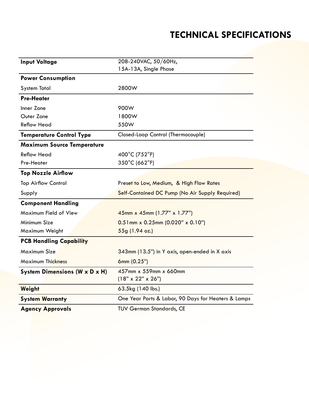## **TECHNICAL SPECIFICATIONS**

| <b>Input Voltage</b>              | 208-240VAC, 50/60Hz,                                   |
|-----------------------------------|--------------------------------------------------------|
|                                   | 15A-13A, Single Phase                                  |
| <b>Power Consumption</b>          |                                                        |
| <b>System Total</b>               | 2800W                                                  |
| <b>Pre-Heater</b>                 |                                                        |
| Inner Zone                        | 900W                                                   |
| Outer Zone                        | 1800W                                                  |
| <b>Reflow Head</b>                | 550W                                                   |
| <b>Temperature Control Type</b>   | Closed-Loop Control (Thermocouple)                     |
| <b>Maximum Source Temperature</b> |                                                        |
| <b>Reflow Head</b>                | 400°C (752°F)                                          |
| Pre-Heater                        | 350°C (662°F)                                          |
| <b>Top Nozzle Airflow</b>         |                                                        |
| <b>Top Airflow Control</b>        | Preset to Low, Medium, & High Flow Rates               |
| Supply                            | Self-Contained DC Pump (No Air Supply Required)        |
| <b>Component Handling</b>         |                                                        |
| Maximum Field of View             | 45mm x 45mm (1.77" x 1.77")                            |
| Minimum Size                      | $0.51$ mm x 0.25mm (0.020" x 0.10")                    |
| Maximum Weight                    | 55g (1.94 oz.)                                         |
| <b>PCB Handling Capability</b>    |                                                        |
| Maximum Size                      | 343mm (13.5") in Y axis, open-ended in X axis          |
| <b>Maximum Thickness</b>          | 6mm (0.25")                                            |
| System Dimensions (W x D x H)     | 457mm x 559mm x 660mm<br>$(18" \times 22" \times 26")$ |
| Weight                            | 63.5kg (140 lbs.)                                      |
| <b>System Warranty</b>            | One Year Parts & Labor, 90 Days for Heaters & Lamps    |
| <b>Agency Approvals</b>           | <b>TUV German Standards, CE</b>                        |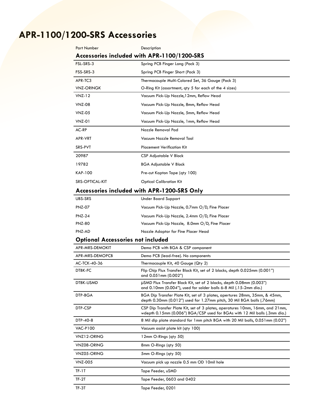# **APR-1100/1200-SRS Accessories**

| <b>Part Number</b>                          | Description                                                                                                                                                 |  |
|---------------------------------------------|-------------------------------------------------------------------------------------------------------------------------------------------------------------|--|
|                                             | Accessories included with APR-1100/1200-SRS                                                                                                                 |  |
| FSL-SRS-3                                   | Spring PCB Finger Long (Pack 3)                                                                                                                             |  |
| FSS-SRS-3                                   | Spring PCB Finger Short (Pack 3)                                                                                                                            |  |
| APR-TC3                                     | Thermocouple Multi-Colored Set, 36 Gauge (Pack 3)                                                                                                           |  |
| <b>VNZ-ORINGK</b>                           | O-Ring Kit (assortment, qty 5 for each of the 4 sizes)                                                                                                      |  |
| <b>VNZ-12</b>                               | Vacuum Pick-Up Nozzle, 12mm, Reflow Head                                                                                                                    |  |
| VNZ-08                                      | Vacuum Pick-Up Nozzle, 8mm, Reflow Head                                                                                                                     |  |
| <b>VNZ-05</b>                               | Vacuum Pick-Up Nozzle, 5mm, Reflow Head                                                                                                                     |  |
| <b>VNZ-01</b>                               | Vacuum Pick-Up Nozzle, 1mm, Reflow Head                                                                                                                     |  |
| AC-RP                                       | Nozzle Removal Pad                                                                                                                                          |  |
| APR-VRT                                     | Vacuum Nozzle Removal Tool                                                                                                                                  |  |
| SRS-PVT                                     | <b>Placement Verification Kit</b>                                                                                                                           |  |
| 20987                                       | CSP Adjustable V Block                                                                                                                                      |  |
| 19782                                       | BGA Adjustable V Block                                                                                                                                      |  |
| <b>KAP-100</b>                              | Pre-cut Kapton Tape (qty 100)                                                                                                                               |  |
| SRS-OPTICAL-KIT                             | <b>Optical Calibration Kit</b>                                                                                                                              |  |
| Accessories included with APR-1200-SRS Only |                                                                                                                                                             |  |
| UBS-SRS                                     | <b>Under Board Support</b>                                                                                                                                  |  |
| <b>PNZ-07</b>                               | Vacuum Pick-Up Nozzle, 0.7mm O/D, Fine Placer                                                                                                               |  |
| <b>PNZ-24</b>                               | Vacuum Pick-Up Nozzle, 2.4mm O/D, Fine Placer                                                                                                               |  |
| <b>PNZ-80</b>                               | Vacuum Pick-Up Nozzle, 8.0mm O/D, Fine Placer                                                                                                               |  |
| PNZ-AD                                      | Nozzle Adaptor for Fine Placer Head                                                                                                                         |  |
| <b>Optional Accessories not included</b>    |                                                                                                                                                             |  |
| APR-MRS-DEMOKIT                             | Demo PCB with BGA & CSP component                                                                                                                           |  |
| APR-MRS-DEMOPCB                             | Demo PCB (lead-free). No components                                                                                                                         |  |
| AC-TCK-40-36                                | Thermocouple Kit, 40 Gauge (Qty 2)                                                                                                                          |  |
| <b>DTBK-FC</b>                              | Flip Chip Flux Transfer Block Kit, set of 2 blocks, depth 0.025mm (0.001")<br>and 0.051 mm (0.002")                                                         |  |
| DTBK-USMD                                   | µSMD Flux Transfer Block Kit, set of 2 blocks, depth 0.08mm (0.003")<br>and 0.10mm (0.004"), used for solder balls 6-8 Mil (.15-2mm dia.)                   |  |
| DTP-BGA                                     | BGA Dip Transfer Plate Kit, set of 3 plates, apertures 28mm, 35mm, & 45mm,<br>depth 0.30mm (0.012") used for 1.27mm pitch, 30 Mil BGA balls (.76mm)         |  |
| DTP-CSP                                     | CSP Dip Transfer Plate Kit, set of 3 plates, aperatures 10mm, 16mm, and 21mm,<br>wdepth 0.15mm (0.006") BGA/CSP used for BGAs with 12 Mil balls (.3mm dia.) |  |
| DTP-40-8                                    | 8 Mil dip plate standard for 1mm pitch BGA with 20 Mil balls, 0.051mm (0.02")                                                                               |  |
| <b>VAC-P100</b>                             | Vacuum assist plate kit (qty 100)                                                                                                                           |  |
| VNZ12-ORING                                 | 12mm O-Rings (qty 50)                                                                                                                                       |  |
| VNZ08-ORING                                 | 8mm O-Rings (qty 50)                                                                                                                                        |  |
| VNZ05-ORING                                 | 5mm O-Rings (qty 50)                                                                                                                                        |  |
| <b>VNZ-005</b>                              | Vacuum pick up nozzle 0.5 mm OD 10mil hole                                                                                                                  |  |
| TF-1T                                       | Tape Feeder, uSMD                                                                                                                                           |  |
| TF-2T                                       | Tape Feeder, 0603 and 0402                                                                                                                                  |  |
| TF-3T                                       | Tape Feeder, 0201                                                                                                                                           |  |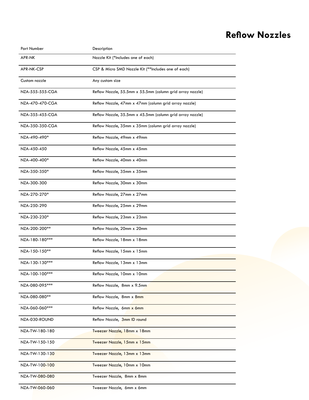### **Reflow Nozzles**

| Part Number       | Description                                               |
|-------------------|-----------------------------------------------------------|
| <b>APR-NK</b>     | Nozzle Kit (*Includes one of each)                        |
| <b>APR-NK-CSP</b> | CSP & Micro SMD Nozzle Kit (**Includes one of each)       |
| Custom nozzle     | Any custom size                                           |
| NZA-555-555-CGA   | Reflow Nozzle, 55.5mm x 55.5mm (column grid array nozzle) |
| NZA-470-470-CGA   | Reflow Nozzle, 47mm x 47mm (column grid array nozzle)     |
| NZA-355-455-CGA   | Reflow Nozzle, 35.5mm x 45.5mm (column grid array nozzle) |
| NZA-350-350-CGA   | Reflow Nozzle, 35mm x 35mm (column grid array nozzle)     |
| NZA-490-490*      | Reflow Nozzle, 49mm x 49mm                                |
| NZA-450-450       | Reflow Nozzle, 45mm x 45mm                                |
| NZA-400-400*      | Reflow Nozzle, 40mm x 40mm                                |
| NZA-350-350*      | Reflow Nozzle, 35mm x 35mm                                |
| NZA-300-300       | Reflow Nozzle, 30mm x 30mm                                |
| NZA-270-270*      | Reflow Nozzle, 27mm x 27mm                                |
| NZA-250-290       | Reflow Nozzle, 25mm x 29mm                                |
| NZA-230-230*      | Reflow Nozzle, 23mm x 23mm                                |
| NZA-200-200**     | Reflow Nozzle, 20mm x 20mm                                |
| NZA-180-180***    | Reflow Nozzle, 18mm x 18mm                                |
| $NZA-150-150**$   | Reflow Nozzle, 15mm x 15mm                                |
| NZA-130-130***    | Reflow Nozzle, 13mm x 13mm                                |
| NZA-100-100***    | Reflow Nozzle, 10mm x 10mm                                |
| NZA-080-095 ***   | Reflow Nozzle, 8mm x 9.5mm                                |
| NZA-080-080**     | Reflow Nozzle, 8mm x 8mm                                  |
| NZA-060-060 ***   | Reflow Nozzle, 6mm x 6mm                                  |
| NZA-030-ROUND     | Reflow Nozzle, 3mm ID round                               |
| NZA-TW-180-180    | Tweezer Nozzle, 18mm x 18mm                               |
| NZA-TW-150-150    | Tweezer Nozzle, 15mm x 15mm                               |
| NZA-TW-130-130    | Tweezer Nozzle, 13mm x 13mm                               |
| NZA-TW-100-100    | Tweezer Nozzle, 10mm x 10mm                               |
| NZA-TW-080-080    | Tweezer Nozzle, 8mm x 8mm                                 |
| NZA-TW-060-060    | Tweezer Nozzle, 6mm x 6mm                                 |